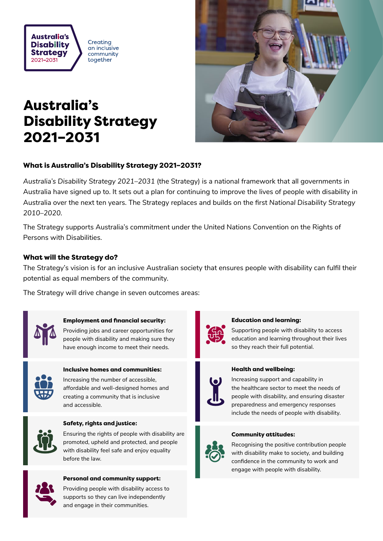

Creating an inclusive community together

# Australia's Disability Strategy 2021–2031



# What is Australia's Disability Strategy 2021–2031?

*Australia's Disability Strategy 2021–2031* (the Strategy) is a national framework that all governments in Australia have signed up to. It sets out a plan for continuing to improve the lives of people with disability in Australia over the next ten years. The Strategy replaces and builds on the first *National Disability Strategy 2010–2020.*

The Strategy supports Australia's commitment under the United Nations Convention on the Rights of Persons with Disabilities.

# What will the Strategy do?

The Strategy's vision is for an inclusive Australian society that ensures people with disability can fulfil their potential as equal members of the community.

The Strategy will drive change in seven outcomes areas:



### Employment and financial security:

Providing jobs and career opportunities for people with disability and making sure they have enough income to meet their needs.



# Inclusive homes and communities:

Increasing the number of accessible, affordable and well-designed homes and creating a community that is inclusive and accessible.



#### Safety, rights and justice:

Ensuring the rights of people with disability are promoted, upheld and protected, and people with disability feel safe and enjoy equality before the law.



#### Personal and community support:

Providing people with disability access to supports so they can live independently and engage in their communities.



#### Education and learning:

Supporting people with disability to access education and learning throughout their lives so they reach their full potential.



### Health and wellbeing:

Increasing support and capability in the healthcare sector to meet the needs of people with disability, and ensuring disaster preparedness and emergency responses include the needs of people with disability.

#### Community attitudes:



Recognising the positive contribution people with disability make to society, and building confidence in the community to work and engage with people with disability.